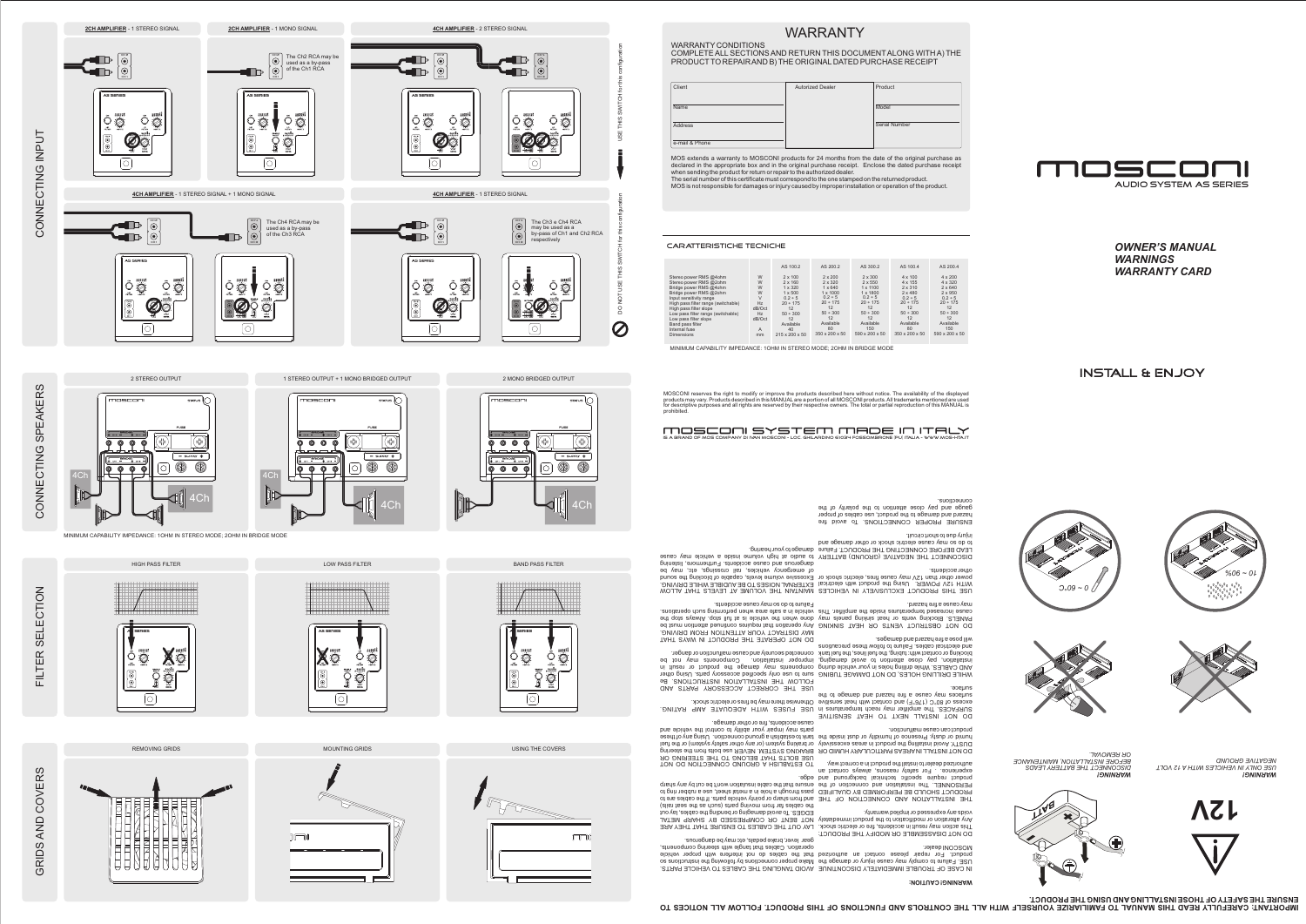|                                                  |                | AS 100.2                         | AS 200.2                         | AS 300.2                         | AS 100.4                         | AS 200.4                         |
|--------------------------------------------------|----------------|----------------------------------|----------------------------------|----------------------------------|----------------------------------|----------------------------------|
| Stereo power RMS @4ohm                           | W              | $2 \times 100$                   | $2 \times 200$<br>$2 \times 320$ | $2 \times 300$<br>$2 \times 550$ | $4 \times 100$<br>$4 \times 155$ | $4 \times 200$<br>$4 \times 320$ |
| Stereo power RMS @2ohm<br>Bridge power RMS @4ohm | W<br>W         | $2 \times 160$<br>$1 \times 320$ | $1 \times 640$                   | $1 \times 1100$                  | $2 \times 310$                   | $2 \times 640$                   |
| Bridge power RMS @2ohm                           | W              | $1 \times 500$                   | $1 \times 1000$                  | $1 \times 1800$                  | $2 \times 480$                   | $2 \times 950$                   |
| Input sensitivity range                          | $\vee$         | $0.2 \div 5$                     | $0.2 \div 5$                     | $0.2 \div 5$                     | $0.2 \div 5$                     | $0.2 \div 5$                     |
| High pass filter range (switchable)              | Hz             | $20 \div 175$                    | $20 \div 175$                    | $20 \div 175$                    | $20 \div 175$                    | $20 \div 175$                    |
| High pass filter slope                           | dB/Oct         | 12                               | 12                               | 12                               | 12                               | 12                               |
| Low pass filter range (switchable)               | Hz             | $50 \div 300$                    | $50 \div 300$                    | $50 \div 300$                    | $50 \div 300$                    | $50 \div 300$                    |
| Low pass filter slope                            | dB/Oct         | 12                               | 12                               | 12                               | 12                               | 12                               |
| Band pass filter                                 |                | Available                        | Available                        | Available                        | Available                        | Available                        |
| Internal fuse                                    | $\overline{A}$ | 40                               | 80                               | 150                              | 80                               | 150                              |
| n:                                               |                | 01500050                         | $250 \times 200 \times 50$       | $E(0) \cup Q(0) \cup E(1)$       | $250 \times 200 \times 50$       | EAO, AAO, EO                     |

mm 215 x 200 x 50 350 x 200 x 50 590 x 200 x 50 350 x 200 x 50 590 x 200 x 50

|                                                                                                      |                                                                | AS 100.2                                                                                                                     | AS 200.2                                                                                                                      | AS 300.2                                                                                                                       | AS 100.4                                                                                                              | AS 200.4                                                                                                                     |
|------------------------------------------------------------------------------------------------------|----------------------------------------------------------------|------------------------------------------------------------------------------------------------------------------------------|-------------------------------------------------------------------------------------------------------------------------------|--------------------------------------------------------------------------------------------------------------------------------|-----------------------------------------------------------------------------------------------------------------------|------------------------------------------------------------------------------------------------------------------------------|
| IS @4ohm<br>IS @2ohm<br>IS @4ohm<br>IS @2ohm<br>ange<br>inge (switchable)<br>ope<br>nge (switchable) | W<br>W<br>W<br>W<br>$\vee$<br><b>Hz</b><br>dB/Oct<br><b>Hz</b> | $2 \times 100$<br>$2 \times 160$<br>$1 \times 320$<br>$1 \times 500$<br>$0.2 \div 5$<br>$20 \div 175$<br>12<br>$50 \div 300$ | $2 \times 200$<br>$2 \times 320$<br>$1 \times 640$<br>$1 \times 1000$<br>$0.2 \div 5$<br>$20 \div 175$<br>12<br>$50 \div 300$ | $2 \times 300$<br>$2 \times 550$<br>$1 \times 1100$<br>$1 \times 1800$<br>$0.2 \div 5$<br>$20 \div 175$<br>12<br>$50 \div 300$ | $4 \times 100$<br>4 x 155<br>$2 \times 310$<br>$2 \times 480$<br>$0.2 \div 5$<br>$20 \div 175$<br>12<br>$50 \div 300$ | $4 \times 200$<br>$4 \times 320$<br>$2 \times 640$<br>$2 \times 950$<br>$0.2 \div 5$<br>$20 \div 175$<br>12<br>$50 \div 300$ |
| ope                                                                                                  | dB/Oct<br>A                                                    | 12<br>Available<br>40                                                                                                        | 12<br>Available<br>80                                                                                                         | 12<br>Available<br>150                                                                                                         | 12<br>Available<br>80                                                                                                 | 12<br>Available<br>150                                                                                                       |

MOSCONI reserves the right to modify or improve the products described here without notice. The availability of the displayed products may vary. Products described in this MANUAL are a portion of all MOSCONI products. All trademarks mentioned are used<br>for descriptive purposes and all rights are reserved by their respective owners. The total or pa

*OWNER'S MANUAL*

*WARRANTY CARD*

*WARNINGS*

**INSTALL & ENJOY** 









WARRANTY

WARRANTY CONDITIONS

WHILE DRILLING HOLES, DO NOT DAMAGE TUBING sure to use only specified accessory parts. Using other AND CABLES. While drilling holes in your vehicle during installation, pay close attention to avoid damaging, blocking or contact with: tubing, the fuel lines, the fuel tank and electrical cables. Failure to follow these precautions will pose <sup>a</sup> fire hazard and damages.

 COMPLETE ALL SECTIONS AND RETURN THIS DOCUMENTALONG WITH A) THE PRODUCTTO REPAIRAND B) THE ORIGINALDATED PURCHASE RECEIPT

DO NOT OBSTRUCT VENTS OR HEAT SINKING ANy operation that requires continued attention must be PANELS. Blocking vents or heat sinking panels may done when the vehicle is at full stop. Always stop the cause increased temperatures in a single the such a series when the such the such the such as is such a series may cause <sup>a</sup> fire hazard.

USE THIS PRODUCT EXCLUSIVELY IN VEHICLES MAINTAIN THE VOLUME AT LEVELS THAT ALLOW WITH 12V POWER. Using the product with electrical EXTERNAL NOISES TO BE AUDIBLE WHILE DRIVING. power other than 12V may cause fires, electric shock or Excessive volume levels, capable of blocking the sound other accidents.

MOS extends <sup>a</sup> warranty to MOSCONI products for 24 months from the date of the original purchase as declared in the appropriate box and in the original purchase receipt. Enclose the dated purchase receipt

DISCONNECT THE NEGATIVE (GROUND) BATTERY to audio at high volume inside a vehicle may cause LEAD BEFORE CONNECTING THE PRODUCT. Failure damage to your hearing. to do so may cause electric shock or other damage and injury due to short circuit.

when sending the product for return or repair to the authorized dealer.

The serial number of this certificate must correspond to the one stamped on the returned product.

operation. Cables that tangle with setering components, gear lever, brake pedals, etc may be dangerous.

MOS is not responsible for damages or injury caused by improper installation or operation of the product.

Model

Serial Number

Product

MINIMUM CAPABILITY IMPEDANCE: 1OHM IN STEREO MODE; 2OHM IN BRIDGE MODE

## **WARNING! CAUTION:**

IN CASE OF TROUBLE IMMEDIATELY DISCONTINUE AVOID TANGLING THE CABLES TO VEHICLE PARTS. USE. Failure to comply may cause injury or damage the Make proper connections by following the instructions so product. For repair please contact an authorized that the cables do not interfere with proper vehicle MOSCONI dealer.

DO NOT DISASSEMBLE OR MODIFY THE PRODUCT: This action may result in accidents, fire or electric shock. LAY OUT THE CABLES TO ENSURE THAT THEY ARE Any alteration or modification to the product immediately NOT BENT OR COMPRESSED BY SHARP METAL voids any expressed or implied warranty.

THE INSTALLATION AND CONNECTION OF THE and from sharp or pointy vehicle parts. If the cables are to PRODUCT SHOULD BE PERFORMED BY QUALIFIED pass through <sup>a</sup> hole in <sup>a</sup> metal sheet, use <sup>a</sup> rubber ring to PERSONNEL. The installation and connection of the ensure that the cable insulation won't be cut by any sharp product require specific technical background and edge. experience. . For safety reasons, always contact an authorized dealer to install the product in <sup>a</sup> correct way.



IMPORTANT: CAREFULLY READ THIS MANUAL TO FAMILIARIZE YOURSELF WITH ALL THE CONTROLS AND FUNCTIONS OF THIS PRODUCT. FOLLOW ALL NOTICES TO **ENSURE THE SAFETY OF THOSE INSTALLINGAND USING THE PRODUCT.**

DO NOT INSTALL INAREAS PARTICULARY HUMID OR BRAKING SYSTEM. NEVER use bolts from the steering DUSTY. Avoid installing the product in areas excessively humid or dusty. Presence of humidity or dust inside the product can cause malfunction.

## MOSCONI SYSTEM MADE IN ITALY is a brand of mos company di ivan mosconi - loc. ghilardino 61034 fossombrone (pu) italia - www.mos-hta.it

DO NOT INSTALL NEXT TO HEAT SENSITIVE SURFACES. The amplifier may reach doen temperatures in a BC in the MITH ADEQUATE AMP RATING.  $\alpha$ cess of 80°T)  $\beta$  and  $\beta$  and  $\beta$  is the may be religious their and there may be fires or electric shock. surfaces may canze a fire hazard and damage to the surface.

ENSURE PROPER CONNECTIONS. To avoid fire hazard and damage to the product, use cables of proper gauge and pay close attention to the polarity of the connections.

cause accidents, fire or other damage.

Failure to do so may cause accidents.







*BEFORE INSTALLATION, MAINTENANCE OR REMOVAL.*















 $0.09 - 0$ 





*WARNING! USE ONLY IN VEHICLES WITH A 12 VOLT NEGATIVE GROUND*





## caratteristiche tecniche